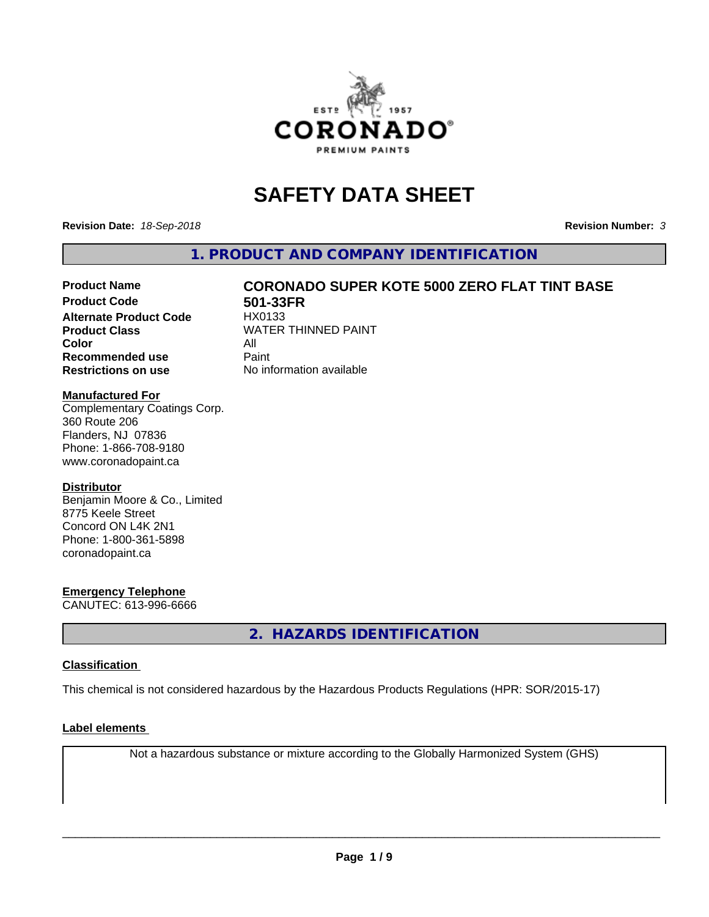

## **SAFETY DATA SHEET**

**Revision Date:** *18-Sep-2018* **Revision Number:** *3*

**1. PRODUCT AND COMPANY IDENTIFICATION**

# Product Name **CORONADO SUPER KOTE 5000 ZERO FLAT TINT BASE**<br>Product Code 501-33FR

**Alternate Product Code Color** All<br> **Recommended use** Paint **Recommended use Restrictions on use** No information available

**501-33FR**<br>HX0133 **Product Class WATER THINNED PAINT** 

#### **Manufactured For**

Complementary Coatings Corp. 360 Route 206 Flanders, NJ 07836 Phone: 1-866-708-9180 www.coronadopaint.ca

#### **Distributor**

Benjamin Moore & Co., Limited 8775 Keele Street Concord ON L4K 2N1 Phone: 1-800-361-5898 coronadopaint.ca

#### **Emergency Telephone**

CANUTEC: 613-996-6666

**2. HAZARDS IDENTIFICATION**

#### **Classification**

This chemical is not considered hazardous by the Hazardous Products Regulations (HPR: SOR/2015-17)

#### **Label elements**

Not a hazardous substance or mixture according to the Globally Harmonized System (GHS)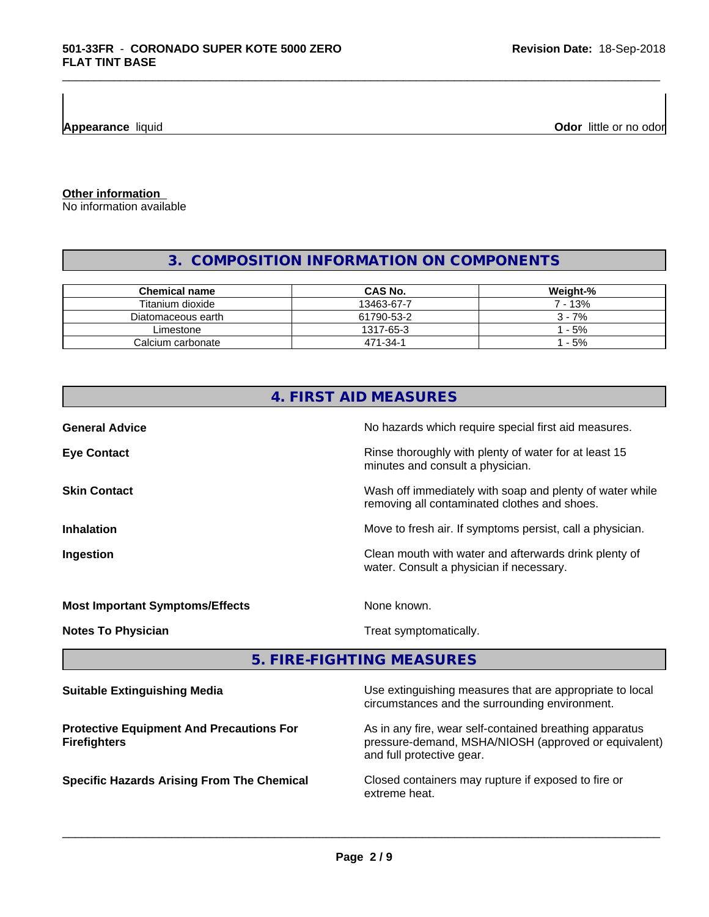**Appearance** liquid

**Odor** little or no odor

**Other information**

No information available

## **3. COMPOSITION INFORMATION ON COMPONENTS**

\_\_\_\_\_\_\_\_\_\_\_\_\_\_\_\_\_\_\_\_\_\_\_\_\_\_\_\_\_\_\_\_\_\_\_\_\_\_\_\_\_\_\_\_\_\_\_\_\_\_\_\_\_\_\_\_\_\_\_\_\_\_\_\_\_\_\_\_\_\_\_\_\_\_\_\_\_\_\_\_\_\_\_\_\_\_\_\_\_\_\_\_\_

| Chemical name      | <b>CAS No.</b> | Weight-% |
|--------------------|----------------|----------|
| Titanium dioxide   | 13463-67-7     | ' - 13%  |
| Diatomaceous earth | 61790-53-2     | $3 - 7%$ |
| Limestone          | 1317-65-3      | $-5%$    |
| Calcium carbonate  | 471-34-1       | $-5%$    |

| 4. FIRST AID MEASURES                                                                                                                                                                     |                                                                                                            |  |  |  |
|-------------------------------------------------------------------------------------------------------------------------------------------------------------------------------------------|------------------------------------------------------------------------------------------------------------|--|--|--|
| <b>General Advice</b>                                                                                                                                                                     | No hazards which require special first aid measures.                                                       |  |  |  |
| <b>Eye Contact</b>                                                                                                                                                                        | Rinse thoroughly with plenty of water for at least 15<br>minutes and consult a physician.                  |  |  |  |
| <b>Skin Contact</b>                                                                                                                                                                       | Wash off immediately with soap and plenty of water while<br>removing all contaminated clothes and shoes.   |  |  |  |
| <b>Inhalation</b>                                                                                                                                                                         | Move to fresh air. If symptoms persist, call a physician.                                                  |  |  |  |
| Ingestion                                                                                                                                                                                 | Clean mouth with water and afterwards drink plenty of<br>water. Consult a physician if necessary.          |  |  |  |
| <b>Most Important Symptoms/Effects</b>                                                                                                                                                    | None known.                                                                                                |  |  |  |
| <b>Notes To Physician</b>                                                                                                                                                                 | Treat symptomatically.                                                                                     |  |  |  |
|                                                                                                                                                                                           | 5. FIRE-FIGHTING MEASURES                                                                                  |  |  |  |
| <b>Suitable Extinguishing Media</b>                                                                                                                                                       | Use extinguishing measures that are appropriate to local<br>circumstances and the surrounding environment. |  |  |  |
| As in any fire, wear self-contained breathing apparatus<br><b>Protective Equipment And Precautions For</b><br>pressure-demand, MSHA/NIOSH (approved or equivalent)<br><b>Firefighters</b> |                                                                                                            |  |  |  |

and full protective gear.

**Specific Hazards Arising From The Chemical Closed containers may rupture if exposed to fire or** extreme heat.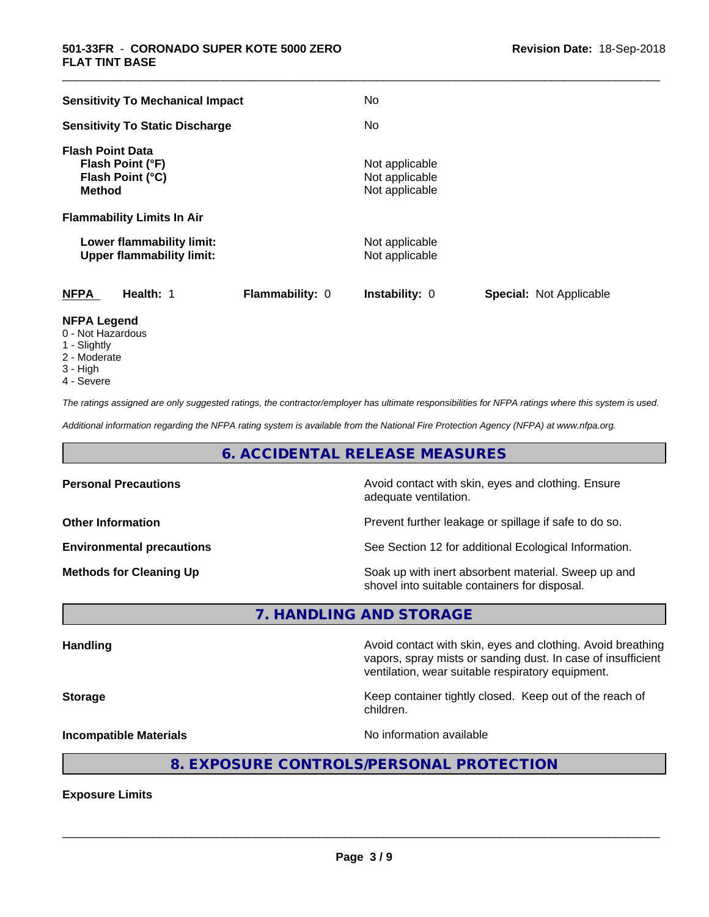| <b>Sensitivity To Mechanical Impact</b>                                          | No                                                      |
|----------------------------------------------------------------------------------|---------------------------------------------------------|
| <b>Sensitivity To Static Discharge</b>                                           | No.                                                     |
| <b>Flash Point Data</b><br>Flash Point (°F)<br>Flash Point (°C)<br><b>Method</b> | Not applicable<br>Not applicable<br>Not applicable      |
| <b>Flammability Limits In Air</b>                                                |                                                         |
| Lower flammability limit:<br><b>Upper flammability limit:</b>                    | Not applicable<br>Not applicable                        |
| <b>NFPA</b><br>Health: 1<br><b>Flammability: 0</b>                               | <b>Special: Not Applicable</b><br><b>Instability: 0</b> |
| <b>NFPA Legend</b>                                                               |                                                         |

\_\_\_\_\_\_\_\_\_\_\_\_\_\_\_\_\_\_\_\_\_\_\_\_\_\_\_\_\_\_\_\_\_\_\_\_\_\_\_\_\_\_\_\_\_\_\_\_\_\_\_\_\_\_\_\_\_\_\_\_\_\_\_\_\_\_\_\_\_\_\_\_\_\_\_\_\_\_\_\_\_\_\_\_\_\_\_\_\_\_\_\_\_

- 0 Not Hazardous
- 1 Slightly
- 2 Moderate
- 3 High
- 4 Severe

*The ratings assigned are only suggested ratings, the contractor/employer has ultimate responsibilities for NFPA ratings where this system is used.*

*Additional information regarding the NFPA rating system is available from the National Fire Protection Agency (NFPA) at www.nfpa.org.*

#### **6. ACCIDENTAL RELEASE MEASURES**

| <b>Personal Precautions</b>      | Avoid contact with skin, eyes and clothing. Ensure<br>adequate ventilation.                          |
|----------------------------------|------------------------------------------------------------------------------------------------------|
| <b>Other Information</b>         | Prevent further leakage or spillage if safe to do so.                                                |
| <b>Environmental precautions</b> | See Section 12 for additional Ecological Information.                                                |
| <b>Methods for Cleaning Up</b>   | Soak up with inert absorbent material. Sweep up and<br>shovel into suitable containers for disposal. |

**7. HANDLING AND STORAGE**

Handling **Handling Avoid contact with skin, eyes and clothing. Avoid breathing Handling** vapors, spray mists or sanding dust. In case of insufficient ventilation, wear suitable respiratory equipment. **Storage Keep container tightly closed. Keep out of the reach of the reach of the reach of the reach of the reach of the reach of the reach of the reach of the reach of the reach of the reach of the reach of the reach of** children. **Incompatible Materials Incompatible Materials No information available** 

## **8. EXPOSURE CONTROLS/PERSONAL PROTECTION**

**Exposure Limits**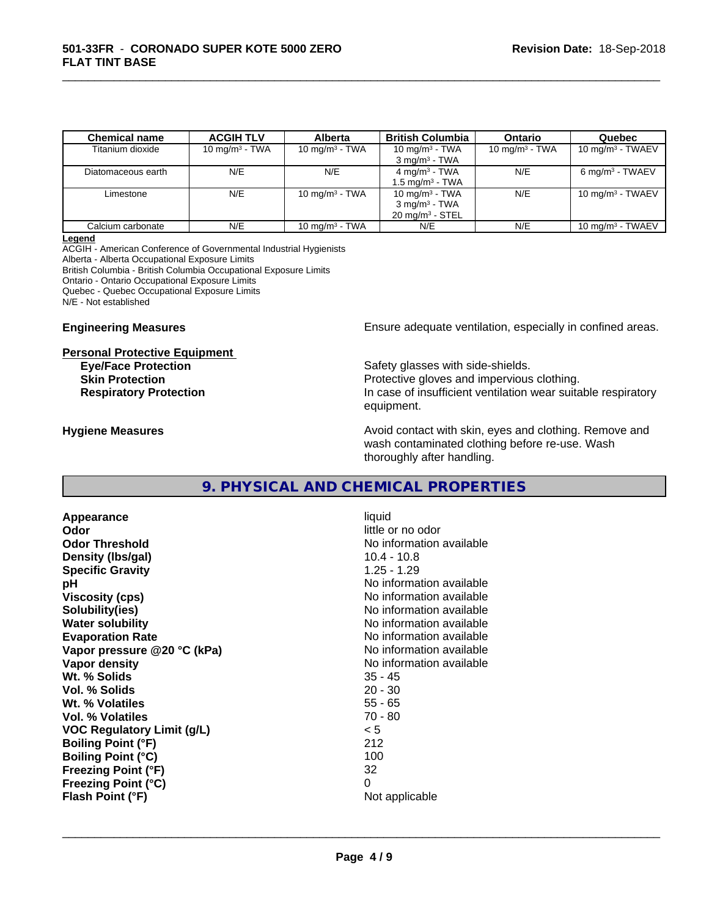| <b>Chemical name</b> | <b>ACGIH TLV</b>  | <b>Alberta</b>            | <b>British Columbia</b>                                                     | <b>Ontario</b>    | Quebec                      |
|----------------------|-------------------|---------------------------|-----------------------------------------------------------------------------|-------------------|-----------------------------|
| Titanium dioxide     | 10 mg/m $3$ - TWA | 10 mg/m $3$ - TWA         | 10 mg/m $3$ - TWA<br>$3 \text{ mg/m}^3$ - TWA                               | 10 mg/m $3$ - TWA | 10 mg/m $3$ - TWAEV         |
| Diatomaceous earth   | N/E               | N/E                       | $4 \text{ mg/m}^3$ - TWA<br>1.5 mg/m <sup>3</sup> - TWA                     | N/E               | $6 \text{ mg/m}^3$ - TWAEV  |
| Limestone            | N/E               | 10 mg/m $3$ - TWA         | 10 mg/m $3$ - TWA<br>$3 \text{ mg/m}^3$ - TWA<br>$20 \text{ mg/m}^3$ - STEL | N/E               | 10 mg/m $3$ - TWAEV         |
| Calcium carbonate    | N/E               | $10 \text{ ma/m}^3$ - TWA | N/E                                                                         | N/E               | $10 \text{ ma/m}^3$ - TWAEV |

\_\_\_\_\_\_\_\_\_\_\_\_\_\_\_\_\_\_\_\_\_\_\_\_\_\_\_\_\_\_\_\_\_\_\_\_\_\_\_\_\_\_\_\_\_\_\_\_\_\_\_\_\_\_\_\_\_\_\_\_\_\_\_\_\_\_\_\_\_\_\_\_\_\_\_\_\_\_\_\_\_\_\_\_\_\_\_\_\_\_\_\_\_

#### **Legend**

ACGIH - American Conference of Governmental Industrial Hygienists Alberta - Alberta Occupational Exposure Limits British Columbia - British Columbia Occupational Exposure Limits Ontario - Ontario Occupational Exposure Limits Quebec - Quebec Occupational Exposure Limits N/E - Not established

# **Personal Protective Equipment**

**Engineering Measures Ensure adequate ventilation, especially in confined areas.** 

**Eye/Face Protection** Safety glasses with side-shields. **Skin Protection Protection Protective gloves and impervious clothing. Respiratory Protection In case of insufficient ventilation wear suitable respiratory** equipment.

**Hygiene Measures Avoid contact with skin, eyes and clothing. Remove and Avoid contact with skin, eyes and clothing. Remove and Avoid contact with skin, eyes and clothing. Remove and** wash contaminated clothing before re-use. Wash thoroughly after handling.

#### **9. PHYSICAL AND CHEMICAL PROPERTIES**

**Appearance** liquid **Odor** little or no odor **Odor Threshold No information available No information available Density (lbs/gal)** 10.4 - 10.8 **Specific Gravity** 1.25 - 1.29 **pH pH**  $\blacksquare$ **Viscosity (cps)** No information available **Solubility(ies)** No information available **Water solubility Water solubility Water solubility Water solubility Water solubility Water solution Evaporation Rate Conservation Rate** No information available valuable valuable valuable valuable valuable valuable valuable valuable **Vapor** pressure @20 °C (kPa) **Vapor density Vapor density No information available Wt. % Solids** 35 - 45 **Vol. % Solids Wt. % Volatiles** 55 - 65 **Vol. % Volatiles** 70 - 80 **VOC Regulatory Limit (g/L)** < 5 **Boiling Point (°F)** 212 **Boiling Point (°C)** 100 **Freezing Point (°F)** 32 **Freezing Point (°C)** 0 **Flash Point (°F)** Not applicable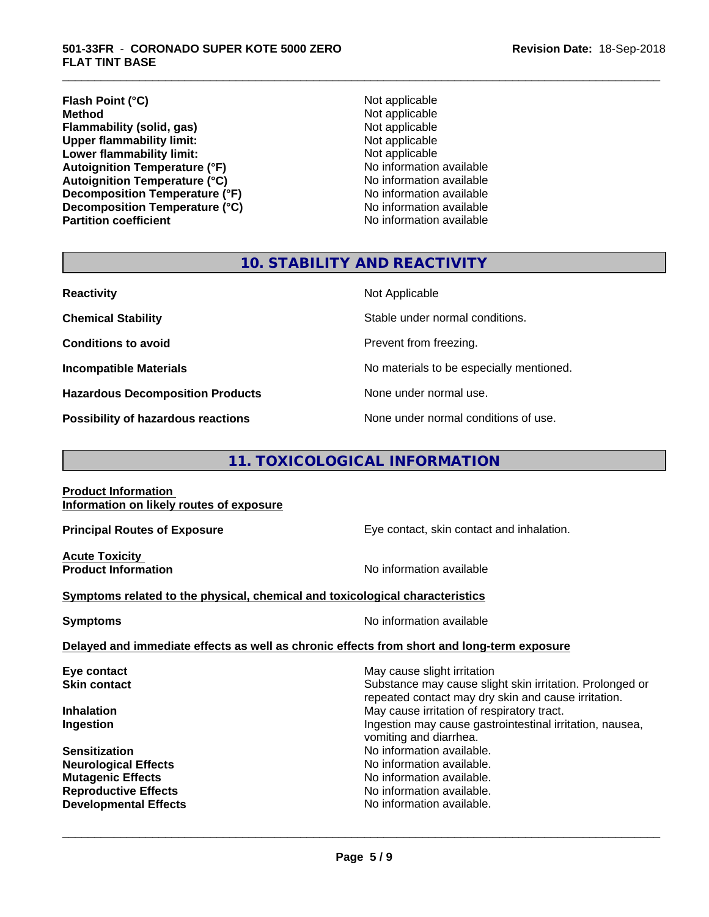#### **Flash Point (°C)**<br> **Method** Not applicable<br> **Method** Not applicable **Flammability (solid, gas)**<br> **Commability limit:**<br>
Upper flammability limit:<br>
Not applicable **Upper flammability limit:**<br> **Lower flammability limit:**<br>
Not applicable<br>
Not applicable **Lower flammability limit:**<br> **Autoignition Temperature (°F)**<br>
Mo information available **Autoignition Temperature (°F) Autoignition Temperature (°C)**<br> **Decomposition Temperature (°F)** No information available **Decomposition Temperature (°F)** No information available<br> **Decomposition Temperature (°C)** No information available **Decomposition Temperature (°C) Partition coefficient Contract Contract Contract Contract Contract Contract Contract Contract Contract Contract Contract Contract Contract Contract Contract Contract Contract Contract Contract Contract Contract Contract**

**Not applicable**<br>Not applicable

\_\_\_\_\_\_\_\_\_\_\_\_\_\_\_\_\_\_\_\_\_\_\_\_\_\_\_\_\_\_\_\_\_\_\_\_\_\_\_\_\_\_\_\_\_\_\_\_\_\_\_\_\_\_\_\_\_\_\_\_\_\_\_\_\_\_\_\_\_\_\_\_\_\_\_\_\_\_\_\_\_\_\_\_\_\_\_\_\_\_\_\_\_

#### **10. STABILITY AND REACTIVITY**

| <b>Reactivity</b>                       | Not Applicable                           |
|-----------------------------------------|------------------------------------------|
| <b>Chemical Stability</b>               | Stable under normal conditions.          |
| <b>Conditions to avoid</b>              | Prevent from freezing.                   |
| <b>Incompatible Materials</b>           | No materials to be especially mentioned. |
| <b>Hazardous Decomposition Products</b> | None under normal use.                   |
| Possibility of hazardous reactions      | None under normal conditions of use.     |

### **11. TOXICOLOGICAL INFORMATION**

**Product Information Information on likely routes of exposure**

**Acute Toxicity** 

**Principal Routes of Exposure Exposure** Eye contact, skin contact and inhalation.

**Product Information Intervention No information available** 

 $\overline{\phantom{a}}$  ,  $\overline{\phantom{a}}$  ,  $\overline{\phantom{a}}$  ,  $\overline{\phantom{a}}$  ,  $\overline{\phantom{a}}$  ,  $\overline{\phantom{a}}$  ,  $\overline{\phantom{a}}$  ,  $\overline{\phantom{a}}$  ,  $\overline{\phantom{a}}$  ,  $\overline{\phantom{a}}$  ,  $\overline{\phantom{a}}$  ,  $\overline{\phantom{a}}$  ,  $\overline{\phantom{a}}$  ,  $\overline{\phantom{a}}$  ,  $\overline{\phantom{a}}$  ,  $\overline{\phantom{a}}$ 

#### **Symptoms** related to the physical, chemical and toxicological characteristics

**Symptoms** No information available

**Delayed and immediate effects as well as chronic effects from short and long-term exposure**

| Eye contact                  | May cause slight irritation                              |
|------------------------------|----------------------------------------------------------|
| <b>Skin contact</b>          | Substance may cause slight skin irritation. Prolonged or |
|                              | repeated contact may dry skin and cause irritation.      |
| <b>Inhalation</b>            | May cause irritation of respiratory tract.               |
| Ingestion                    | Ingestion may cause gastrointestinal irritation, nausea, |
|                              | vomiting and diarrhea.                                   |
| <b>Sensitization</b>         | No information available.                                |
| <b>Neurological Effects</b>  | No information available.                                |
| <b>Mutagenic Effects</b>     | No information available.                                |
| <b>Reproductive Effects</b>  | No information available.                                |
| <b>Developmental Effects</b> | No information available.                                |
|                              |                                                          |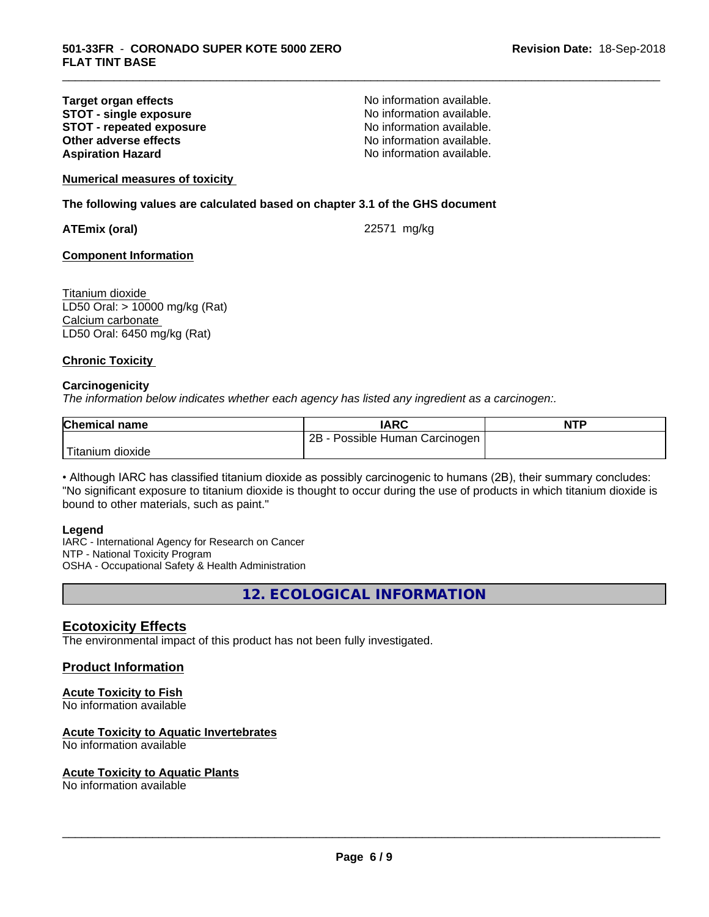#### **Target organ effects No information available.**<br> **STOT - single exposure No information available. STOT -** single exposure<br> **STOT -** repeated exposure<br>
No information available. **STOT - repeated exposure and intervals and information available.**<br> **Other adverse effects CONFING ACCOUNTER CONFING AVAILA No information available. Other adverse effects Aspiration Hazard Aspiration Hazard No information available.**

\_\_\_\_\_\_\_\_\_\_\_\_\_\_\_\_\_\_\_\_\_\_\_\_\_\_\_\_\_\_\_\_\_\_\_\_\_\_\_\_\_\_\_\_\_\_\_\_\_\_\_\_\_\_\_\_\_\_\_\_\_\_\_\_\_\_\_\_\_\_\_\_\_\_\_\_\_\_\_\_\_\_\_\_\_\_\_\_\_\_\_\_\_

**Numerical measures of toxicity**

**The following values are calculated based on chapter 3.1 of the GHS document**

**ATEmix (oral)** 22571 mg/kg

#### **Component Information**

Titanium dioxide LD50 Oral: > 10000 mg/kg (Rat) Calcium carbonate LD50 Oral: 6450 mg/kg (Rat)

#### **Chronic Toxicity**

#### **Carcinogenicity**

*The information below indicateswhether each agency has listed any ingredient as a carcinogen:.*

| <b>Chemical name</b>  | IARC                                | <b>NTP</b> |
|-----------------------|-------------------------------------|------------|
|                       | $2B -$<br>Possible Human Carcinogen |            |
| Titanium J<br>dioxide |                                     |            |

• Although IARC has classified titanium dioxide as possibly carcinogenic to humans (2B), their summary concludes: "No significant exposure to titanium dioxide is thought to occur during the use of products in which titanium dioxide is bound to other materials, such as paint."

#### **Legend**

IARC - International Agency for Research on Cancer NTP - National Toxicity Program OSHA - Occupational Safety & Health Administration

**12. ECOLOGICAL INFORMATION**

#### **Ecotoxicity Effects**

The environmental impact of this product has not been fully investigated.

#### **Product Information**

#### **Acute Toxicity to Fish**

No information available

#### **Acute Toxicity to Aquatic Invertebrates**

No information available

#### **Acute Toxicity to Aquatic Plants**

No information available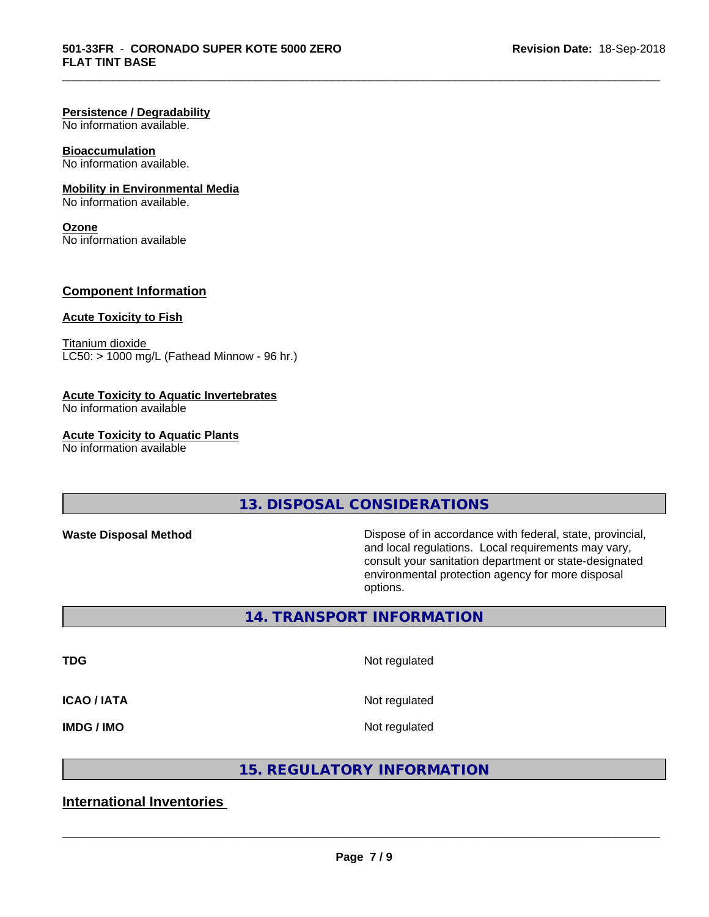#### **Persistence / Degradability**

No information available.

#### **Bioaccumulation**

No information available.

#### **Mobility in Environmental Media**

No information available.

#### **Ozone**

No information available

#### **Component Information**

#### **Acute Toxicity to Fish**

Titanium dioxide  $LCS0:$  > 1000 mg/L (Fathead Minnow - 96 hr.)

#### **Acute Toxicity to Aquatic Invertebrates**

No information available

#### **Acute Toxicity to Aquatic Plants**

No information available

#### **13. DISPOSAL CONSIDERATIONS**

\_\_\_\_\_\_\_\_\_\_\_\_\_\_\_\_\_\_\_\_\_\_\_\_\_\_\_\_\_\_\_\_\_\_\_\_\_\_\_\_\_\_\_\_\_\_\_\_\_\_\_\_\_\_\_\_\_\_\_\_\_\_\_\_\_\_\_\_\_\_\_\_\_\_\_\_\_\_\_\_\_\_\_\_\_\_\_\_\_\_\_\_\_

**Waste Disposal Method Dispose of in accordance with federal, state, provincial,** and local regulations. Local requirements may vary, consult your sanitation department or state-designated environmental protection agency for more disposal options.

#### **14. TRANSPORT INFORMATION**

**TDG** Not regulated

#### **ICAO / IATA** Not regulated

**IMDG / IMO** Not regulated

 $\overline{\phantom{a}}$  ,  $\overline{\phantom{a}}$  ,  $\overline{\phantom{a}}$  ,  $\overline{\phantom{a}}$  ,  $\overline{\phantom{a}}$  ,  $\overline{\phantom{a}}$  ,  $\overline{\phantom{a}}$  ,  $\overline{\phantom{a}}$  ,  $\overline{\phantom{a}}$  ,  $\overline{\phantom{a}}$  ,  $\overline{\phantom{a}}$  ,  $\overline{\phantom{a}}$  ,  $\overline{\phantom{a}}$  ,  $\overline{\phantom{a}}$  ,  $\overline{\phantom{a}}$  ,  $\overline{\phantom{a}}$ 

#### **15. REGULATORY INFORMATION**

#### **International Inventories**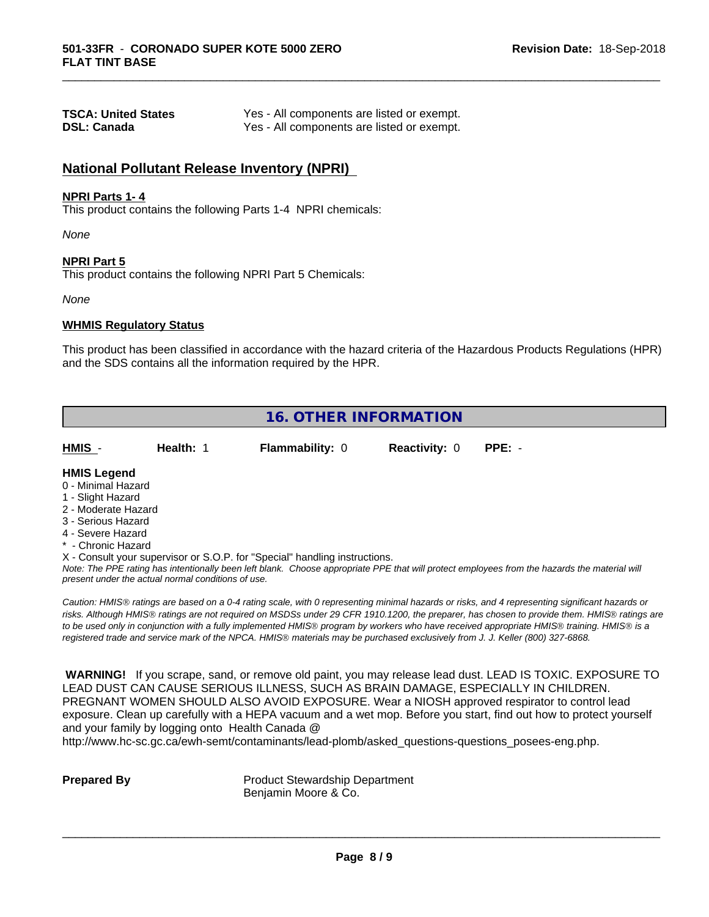| <b>TSCA: United States</b> | Yes - All components are listed or exempt. |
|----------------------------|--------------------------------------------|
| <b>DSL: Canada</b>         | Yes - All components are listed or exempt. |

#### **National Pollutant Release Inventory (NPRI)**

#### **NPRI Parts 1- 4**

This product contains the following Parts 1-4 NPRI chemicals:

*None*

#### **NPRI Part 5**

This product contains the following NPRI Part 5 Chemicals:

*None*

#### **WHMIS Regulatory Status**

This product has been classified in accordance with the hazard criteria of the Hazardous Products Regulations (HPR) and the SDS contains all the information required by the HPR.

\_\_\_\_\_\_\_\_\_\_\_\_\_\_\_\_\_\_\_\_\_\_\_\_\_\_\_\_\_\_\_\_\_\_\_\_\_\_\_\_\_\_\_\_\_\_\_\_\_\_\_\_\_\_\_\_\_\_\_\_\_\_\_\_\_\_\_\_\_\_\_\_\_\_\_\_\_\_\_\_\_\_\_\_\_\_\_\_\_\_\_\_\_

| <b>16. OTHER INFORMATION</b>                                                                                                                                                                                |           |  |                                                                            |                      |                                                                                                                                                                                                                                                                                                                                                                                                                                                                                                                                                                              |
|-------------------------------------------------------------------------------------------------------------------------------------------------------------------------------------------------------------|-----------|--|----------------------------------------------------------------------------|----------------------|------------------------------------------------------------------------------------------------------------------------------------------------------------------------------------------------------------------------------------------------------------------------------------------------------------------------------------------------------------------------------------------------------------------------------------------------------------------------------------------------------------------------------------------------------------------------------|
| HMIS -                                                                                                                                                                                                      | Health: 1 |  | <b>Flammability: 0</b>                                                     | <b>Reactivity: 0</b> | $PPE: -$                                                                                                                                                                                                                                                                                                                                                                                                                                                                                                                                                                     |
| <b>HMIS Legend</b><br>0 - Minimal Hazard<br>1 - Slight Hazard<br>2 - Moderate Hazard<br>3 - Serious Hazard<br>4 - Severe Hazard<br>* - Chronic Hazard<br>present under the actual normal conditions of use. |           |  | X - Consult your supervisor or S.O.P. for "Special" handling instructions. |                      | Note: The PPE rating has intentionally been left blank. Choose appropriate PPE that will protect employees from the hazards the material will                                                                                                                                                                                                                                                                                                                                                                                                                                |
|                                                                                                                                                                                                             |           |  |                                                                            |                      | Caution: HMIS® ratings are based on a 0-4 rating scale, with 0 representing minimal hazards or risks, and 4 representing significant hazards or<br>risks. Although HMIS® ratings are not required on MSDSs under 29 CFR 1910.1200, the preparer, has chosen to provide them. HMIS® ratings are<br>to be used only in conjunction with a fully implemented HMIS® program by workers who have received appropriate HMIS® training. HMIS® is a<br>registered trade and service mark of the NPCA. HMIS® materials may be purchased exclusively from J. J. Keller (800) 327-6868. |

 **WARNING!** If you scrape, sand, or remove old paint, you may release lead dust. LEAD IS TOXIC. EXPOSURE TO LEAD DUST CAN CAUSE SERIOUS ILLNESS, SUCH AS BRAIN DAMAGE, ESPECIALLY IN CHILDREN. PREGNANT WOMEN SHOULD ALSO AVOID EXPOSURE. Wear a NIOSH approved respirator to control lead exposure. Clean up carefully with a HEPA vacuum and a wet mop. Before you start, find out how to protect yourself and your family by logging onto Health Canada @

http://www.hc-sc.gc.ca/ewh-semt/contaminants/lead-plomb/asked\_questions-questions\_posees-eng.php.

**Prepared By** Product Stewardship Department Benjamin Moore & Co.